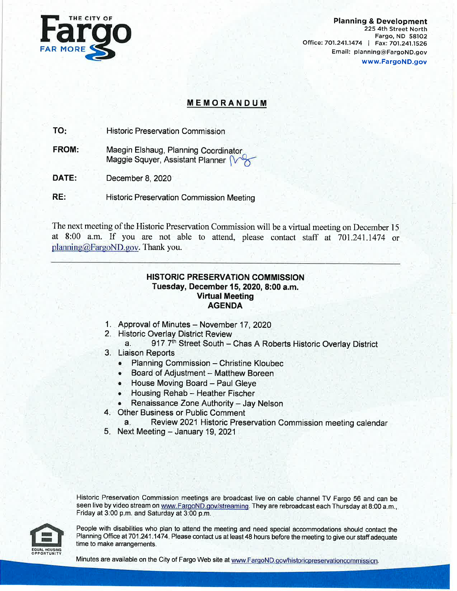

**Planning & Development** 225 4th Street North Fargo, ND 58102 Office: 701.241.1474 | Fax: 701.241.1526 Email: planning@FargoND.gov www.FargoND.gov

#### MEMORANDUM

TO: **Historic Preservation Commission** 

- **FROM:** Maegin Elshaug, Planning Coordinator Maggie Squyer, Assistant Planner V
- DATE: December 8, 2020
- RE: **Historic Preservation Commission Meeting**

The next meeting of the Historic Preservation Commission will be a virtual meeting on December 15 at 8:00 a.m. If you are not able to attend, please contact staff at 701.241.1474 or planning@FargoND.gov. Thank you.

#### **HISTORIC PRESERVATION COMMISSION** Tuesday, December 15, 2020, 8:00 a.m. **Virtual Meeting AGENDA**

- 1. Approval of Minutes November 17, 2020
- 2. Historic Overlay District Review
	- 917 7<sup>th</sup> Street South Chas A Roberts Historic Overlay District  $a<sub>1</sub>$
- 3. Liaison Reports
	- Planning Commission Christine Kloubec
	- Board of Adjustment Matthew Boreen
	- House Moving Board Paul Gleve
	- Housing Rehab Heather Fischer
	- Renaissance Zone Authority Jay Nelson
- 4. Other Business or Public Comment
	- $a^{\dagger}$ Review 2021 Historic Preservation Commission meeting calendar
- 5. Next Meeting January 19, 2021

Historic Preservation Commission meetings are broadcast live on cable channel TV Fargo 56 and can be seen live by video stream on www.FargoND.gov/streaming. They are rebroadcast each Thursday at 8:00 a.m., Friday at 3:00 p.m. and Saturday at 3:00 p.m.



People with disabilities who plan to attend the meeting and need special accommodations should contact the Planning Office at 701.241.1474. Please contact us at least 48 hours before the meeting to give our staff adequate time to make arrangements.

Minutes are available on the City of Fargo Web site at www.FargoND.gov/historicpreservationcommission.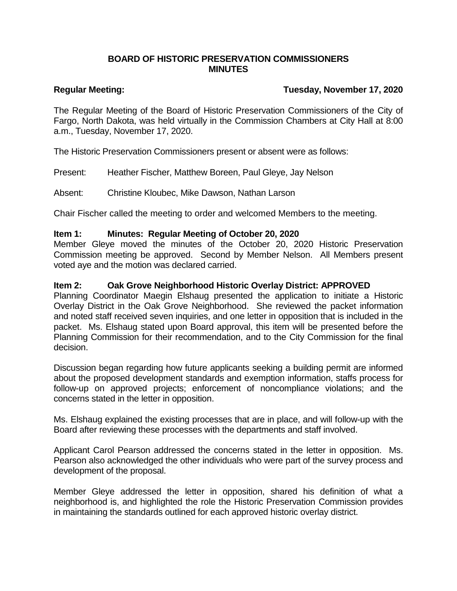#### **BOARD OF HISTORIC PRESERVATION COMMISSIONERS MINUTES**

#### **Regular Meeting: Tuesday, November 17, 2020**

The Regular Meeting of the Board of Historic Preservation Commissioners of the City of Fargo, North Dakota, was held virtually in the Commission Chambers at City Hall at 8:00 a.m., Tuesday, November 17, 2020.

The Historic Preservation Commissioners present or absent were as follows:

Present: Heather Fischer, Matthew Boreen, Paul Gleye, Jay Nelson

Absent: Christine Kloubec, Mike Dawson, Nathan Larson

Chair Fischer called the meeting to order and welcomed Members to the meeting.

#### **Item 1: Minutes: Regular Meeting of October 20, 2020**

Member Gleye moved the minutes of the October 20, 2020 Historic Preservation Commission meeting be approved. Second by Member Nelson. All Members present voted aye and the motion was declared carried.

#### **Item 2: Oak Grove Neighborhood Historic Overlay District: APPROVED**

Planning Coordinator Maegin Elshaug presented the application to initiate a Historic Overlay District in the Oak Grove Neighborhood. She reviewed the packet information and noted staff received seven inquiries, and one letter in opposition that is included in the packet. Ms. Elshaug stated upon Board approval, this item will be presented before the Planning Commission for their recommendation, and to the City Commission for the final decision.

Discussion began regarding how future applicants seeking a building permit are informed about the proposed development standards and exemption information, staffs process for follow-up on approved projects; enforcement of noncompliance violations; and the concerns stated in the letter in opposition.

Ms. Elshaug explained the existing processes that are in place, and will follow-up with the Board after reviewing these processes with the departments and staff involved.

Applicant Carol Pearson addressed the concerns stated in the letter in opposition. Ms. Pearson also acknowledged the other individuals who were part of the survey process and development of the proposal.

Member Gleye addressed the letter in opposition, shared his definition of what a neighborhood is, and highlighted the role the Historic Preservation Commission provides in maintaining the standards outlined for each approved historic overlay district.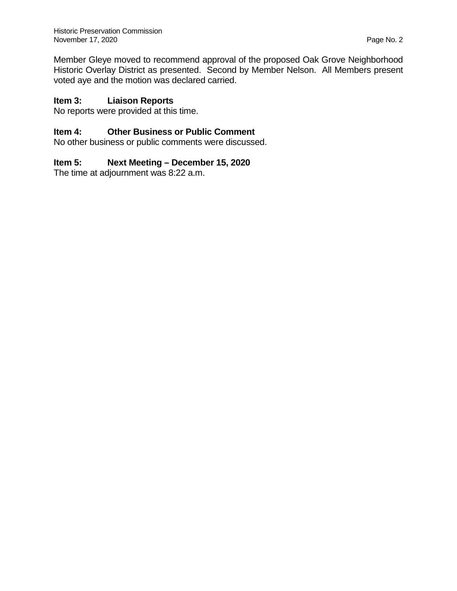Member Gleye moved to recommend approval of the proposed Oak Grove Neighborhood Historic Overlay District as presented. Second by Member Nelson. All Members present voted aye and the motion was declared carried.

### **Item 3: Liaison Reports**

No reports were provided at this time.

#### **Item 4: Other Business or Public Comment**

No other business or public comments were discussed.

#### **Item 5: Next Meeting – December 15, 2020**

The time at adjournment was 8:22 a.m.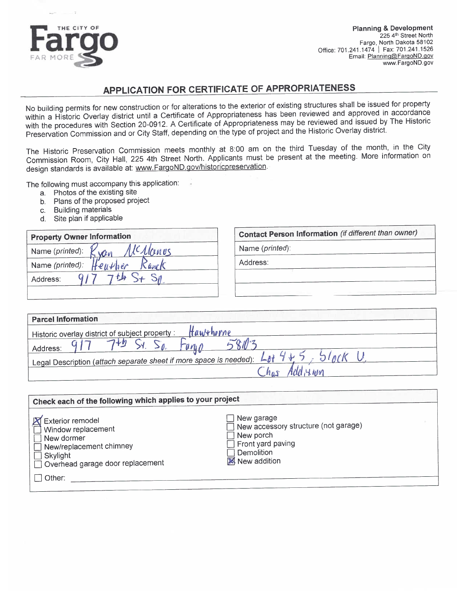

### APPLICATION FOR CERTIFICATE OF APPROPRIATENESS

No building permits for new construction or for alterations to the exterior of existing structures shall be issued for property within a Historic Overlay district until a Certificate of Appropriateness has been reviewed and approved in accordance with the procedures with Section 20-0912. A Certificate of Appropriateness may be reviewed and issued by The Historic Preservation Commission and or City Staff, depending on the type of project and the Historic Overlay district.

The Historic Preservation Commission meets monthly at 8:00 am on the third Tuesday of the month, in the City Commission Room, City Hall, 225 4th Street North. Applicants must be present at the meeting. More information on design standards is available at: www.FargoND.gov/historicpreservation.

The following must accompany this application:

- a. Photos of the existing site
- Plans of the proposed project b.
- c. Building materials
- d. Site plan if applicable

| <b>Property Owner Information</b> | Contact Person Information (if different than owner) |
|-----------------------------------|------------------------------------------------------|
| Name (printed):<br>$A\omega$ nus  | Name (printed):                                      |
| Name (printed):<br>$H$ puller     | Address:                                             |
| Address:                          |                                                      |
|                                   |                                                      |

| <b>Parcel Information</b>                                          |
|--------------------------------------------------------------------|
|                                                                    |
| Historic overlay district of subject property:<br>Hawthorne        |
|                                                                    |
| Address:                                                           |
|                                                                    |
|                                                                    |
| Legal Description (attach separate sheet if more space is needed): |
|                                                                    |
|                                                                    |

| Check each of the following which applies to your project                                                                                                 |                                                                                                                                         |  |  |
|-----------------------------------------------------------------------------------------------------------------------------------------------------------|-----------------------------------------------------------------------------------------------------------------------------------------|--|--|
| <b>X</b> Exterior remodel<br>Window replacement<br>New dormer<br>New/replacement chimney<br>Skylight<br>Overhead garage door replacement<br>$\Box$ Other: | $\Box$ New garage<br>$\Box$ New accessory structure (not garage)<br>New porch<br>$\Box$ Front yard paving<br>Demolition<br>New addition |  |  |
|                                                                                                                                                           |                                                                                                                                         |  |  |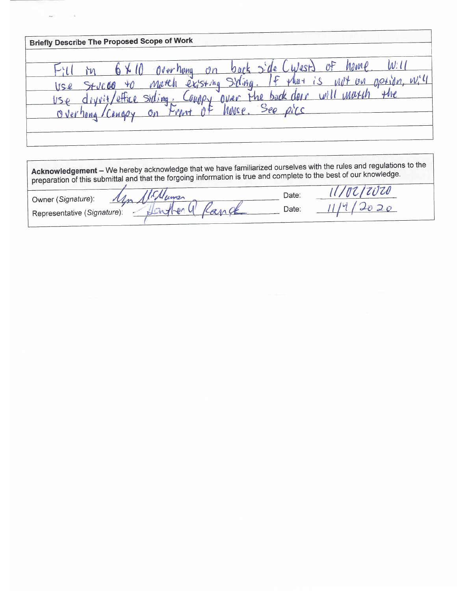|           | Over nong<br>Match |      |  |  |
|-----------|--------------------|------|--|--|
| USL       |                    | Aver |  |  |
| $O$ $VeV$ |                    |      |  |  |
|           |                    |      |  |  |

| $Pi$ open and $Pi$ or $Pi$            |       |  |
|---------------------------------------|-------|--|
| $M$ <i>ILW2</i><br>Owner (Signature): | Date: |  |
|                                       |       |  |
| Representative (Signature):           | Date: |  |
|                                       |       |  |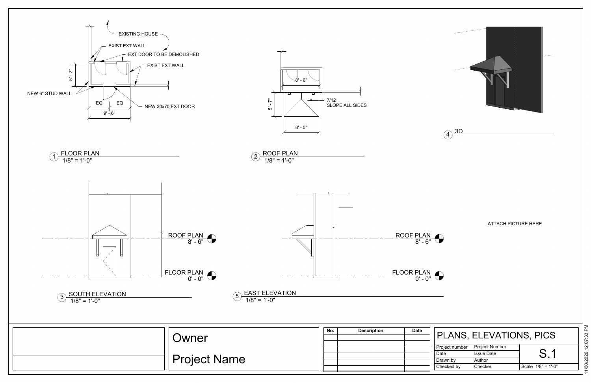Checked by Checker | Scale 1/8" = 1'-0" Project number Date Drawn by

11/30/2020 12:07:33 PM 11/30/2020 12:07:33 PM





S.1

# PLANS, ELEVATIONS, PICS

Project Number Author Checker

ATTACH PICTURE HERE

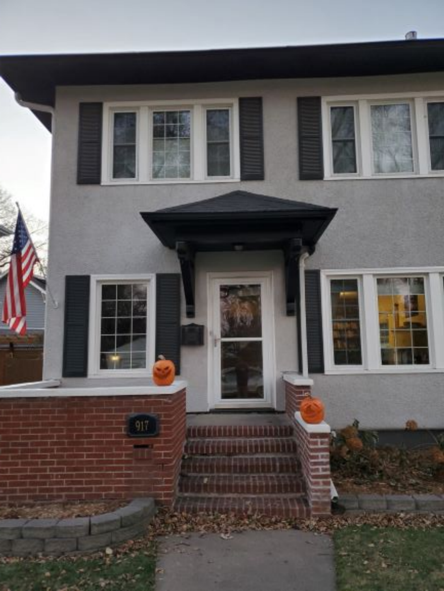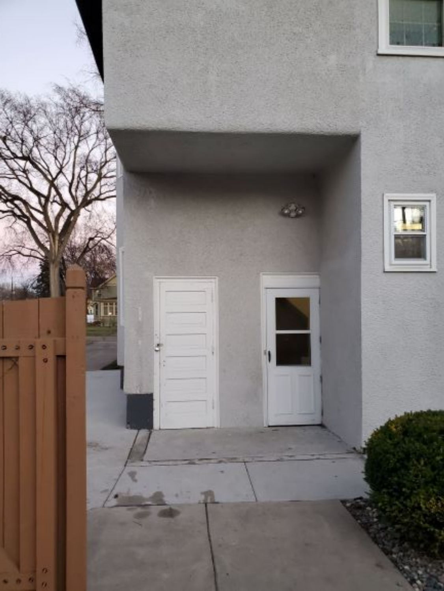